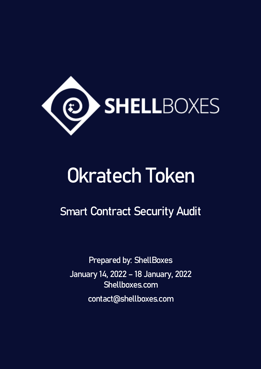

# Okratech Token

Smart Contract Security Audit

Prepared by: ShellBoxes January 14, 2022 – 18 January, 2022 Shellboxes.com contact@shellboxes.com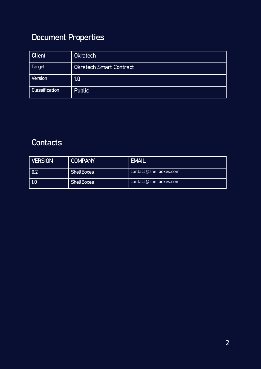### Document Properties

| <b>Client</b>         | <b>Okratech</b>                |
|-----------------------|--------------------------------|
| Target                | <b>Okratech Smart Contract</b> |
| <b>Version</b>        | 1.0                            |
| <b>Classification</b> | <b>Public</b>                  |

### **Contacts**

| <b>VERSION</b> | <b>COMPANY</b>    | <b>EMAIL</b>           |
|----------------|-------------------|------------------------|
| 0.2            | <b>ShellBoxes</b> | contact@shellboxes.com |
| 1.0            | <b>ShellBoxes</b> | contact@shellboxes.com |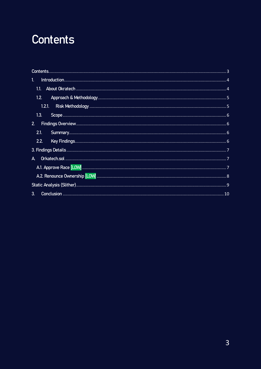# <span id="page-2-0"></span>Contents

| 1 <sub>1</sub> |
|----------------|
| 1.1            |
|                |
|                |
| 1.3.           |
| 2 <sub>1</sub> |
| 2.1.           |
| 2.2.           |
|                |
| $\mathsf{A}$   |
|                |
|                |
|                |
| 3 <sub>l</sub> |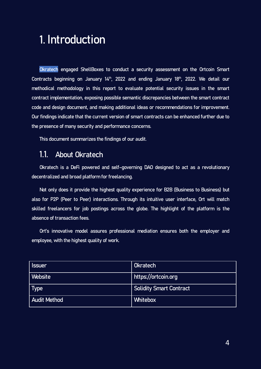# <span id="page-3-0"></span>1. Introduction

Okratech engaged ShellBoxes to conduct a security assessment on the Ortcoin Smart Contracts beginning on January 14<sup>th</sup>, 2022 and ending January 18<sup>th</sup>, 2022. We detail our methodical methodology in this report to evaluate potential security issues in the smart contract implementation, exposing possible semantic discrepancies between the smart contract code and design document, and making additional ideas or recommendations for improvement. Our findings indicate that the current version of smart contracts can be enhanced further due to the presence of many security and performance concerns.

This document summarizes the findings of our audit.

### <span id="page-3-1"></span>1.1. About Okratech

Okratech is a DeFi powered and self–governing DAO designed to act as a revolutionary decentralized and broad platform for freelancing.

Not only does it provide the highest quality experience for B2B (Business to Business) but also for P2P (Peer to Peer) interactions. Through its intuitive user interface, Ort will match skilled freelancers for job postings across the globe. The highlight of the platform is the absence of transaction fees.

Ort's innovative model assures professional mediation ensures both the employer and employee, with the highest quality of work.

| <b>Issuer</b>       | <b>Okratech</b>                |
|---------------------|--------------------------------|
| Website             | https://ortcoin.org            |
| <b>Type</b>         | <b>Solidity Smart Contract</b> |
| <b>Audit Method</b> | <b>Whitebox</b>                |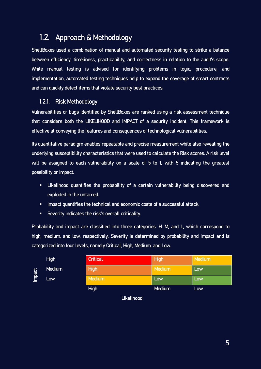### <span id="page-4-0"></span>1.2. Approach & Methodology

ShellBoxes used a combination of manual and automated security testing to strike a balance between efficiency, timeliness, practicability, and correctness in relation to the audit's scope. While manual testing is advised for identifying problems in logic, procedure, and implementation, automated testing techniques help to expand the coverage of smart contracts and can quickly detect items that violate security best practices.

### <span id="page-4-1"></span>1.2.1. Risk Methodology

Vulnerabilities or bugs identified by ShellBoxes are ranked using a risk assessment technique that considers both the LIKELIHOOD and IMPACT of a security incident. This framework is effective at conveying the features and consequences of technological vulnerabilities.

Its quantitative paradigm enables repeatable and precise measurement while also revealing the underlying susceptibility characteristics that were used to calculate the Risk scores. A risk level will be assigned to each vulnerability on a scale of 5 to 1, with 5 indicating the greatest possibility or impact.

- **EXT** Likelihood quantifies the probability of a certain vulnerability being discovered and exploited in the untamed.
- **IMPACT** quantifies the technical and economic costs of a successful attack.
- Severity indicates the risk's overall criticality.

Probability and impact are classified into three categories: H, M, and L, which correspond to high, medium, and low, respectively. Severity is determined by probability and impact and is categorized into four levels, namely Critical, High, Medium, and Low.

|        | <b>High</b>          | <b>Critical</b> | High   | Medium |
|--------|----------------------|-----------------|--------|--------|
| Impact | <b>Medium</b><br>Low | <b>High</b>     | Medium | Low    |
|        |                      | Medium          | Low    | Low    |
|        |                      | <b>High</b>     | Medium | Low    |

Likelihood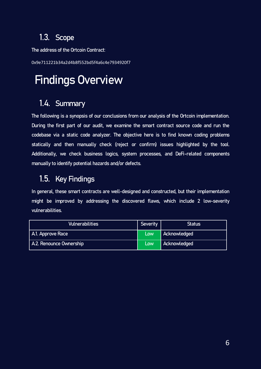### <span id="page-5-1"></span><span id="page-5-0"></span>1.3. Scope

The address of the Ortcoin Contract:

0x9e711221b34a2d4b8f552bd5f4a6c4e7934920f7

# Findings Overview

### <span id="page-5-2"></span>1.4. Summary

The following is a synopsis of our conclusions from our analysis of the Ortcoin implementation. During the first part of our audit, we examine the smart contract source code and run the codebase via a static code analyzer. The objective here is to find known coding problems statically and then manually check (reject or confirm) issues highlighted by the tool. Additionally, we check business logics, system processes, and DeFi-related components manually to identify potential hazards and/or defects.

### <span id="page-5-3"></span>1.5. Key Findings

In general, these smart contracts are well-designed and constructed, but their implementation might be improved by addressing the discovered flaws, which include 2 low-severity vulnerabilities.

| <b>Vulnerabilities</b>  | Severity | <b>Status</b> |
|-------------------------|----------|---------------|
| A.1. Approve Race       | Low      | Acknowledged  |
| A.2. Renounce Ownership | Low      | Acknowledged  |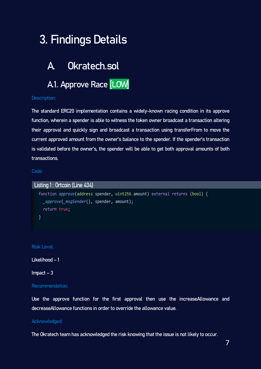# <span id="page-6-0"></span>3. Findings Details

### <span id="page-6-1"></span>A. Okratech.sol

## <span id="page-6-2"></span>A1. Approve Race [LOW]

#### Description:

The standard ERC20 implementation contains a widely-known racing condition in its approve function, wherein a spender is able to witness the token owner broadcast a transaction altering their approval and quickly sign and broadcast a transaction using transferFrom to move the current approved amount from the owner's balance to the spender. If the spender's transaction is validated before the owner's, the spender will be able to get both approval amounts of both transactions.

Code:

Listing 1 : Ortcoin (Line 434) function *approve*(address spender, uint256 amount) external *returns* (bool) { *\_approve*(*\_msgSender*(), spender, amount); *return* true; }

Risk Level:

Likelihood – 1

Impact – 3

#### Recommendation:

Use the approve function for the first approval then use the increaseAllowance and decreaseAllowance functions in order to override the allowance value.

#### Acknowledged:

The Okratech team has acknowledged the risk knowing that the issue is not likely to occur.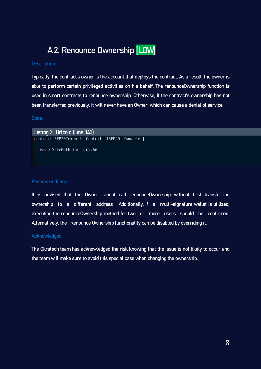### A.2. Renounce Ownership [LOW]

#### <span id="page-7-0"></span>Description:

Typically, the contract's owner is the account that deploys the contract. As a result, the owner is able to perform certain privileged activities on his behalf. The renounceOwnership function is used in smart contracts to renounce ownership. Otherwise, if the contract's ownership has not been transferred previously, it will never have an Owner, which can cause a denial of service.

#### Code:

Listing 2 : Ortcoin (Line 343) contract BEP20Token *is* Context, IBEP20, Ownable { *using* SafeMath *for* uint256

#### Recommendation:

It is advised that the Owner cannot call renounceOwnership without first transferring ownership to a different address. Additionally, if a multi-signature wallet is utilized, executing the renounceOwnership method for two or more users should be confirmed. Alternatively, the Renounce Ownership functionality can be disabled by overriding it.

#### Acknowledged:

The Okratech team has acknowledged the risk knowing that the issue is not likely to occur and the team will make sure to avoid this special case when changing the ownership.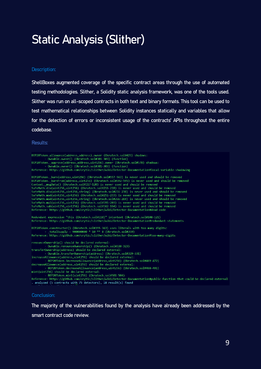# <span id="page-8-0"></span>Static Analysis (Slither)

#### Description:

ShellBoxes augmented coverage of the specific contract areas through the use of automated testing methodologies. Slither, a Solidity static analysis framework, was one of the tools used. Slither was run on all-scoped contracts in both text and binary formats. This tool can be used to test mathematical relationships between Solidity instances statically and variables that allow for the detection of errors or inconsistent usage of the contracts' APIs throughout the entire codebase.

Results:

```
BEP20Token.allowance(address,address).owner (Okratech.sol#423) shadows:<br>- Ownable.owner() (Okratech.sol#301-303) (function)
BEP20Token._approve(address,address,uint256).owner (Okratech.sol#578) shadows:<br>- Ownable.owner() (Okratech.sol#378) (Function)
Reference: https://github.com/crytic/slither/wiki/Detector-Documentation#local-variable-shadowing
BEP20Token. burn(address, uint256) (Okratech.sol#557-563) is never used and should be removed
BEP20Token. burnFrom(address, uint256) (Okratech.sol#592-595) is never used and should be removed
Context._msgData() (Okratech.sol#117-120) is never used and should be removed
SafeMath.div(uint256,uint256) (Okratech.sol#216-218) is never used and should be removed
SafeMath.div(uint256,uint256,string) (Okratech.sol#231-238) is never used and should be removed
SafeMath.mod(uint256,uint256) (Okratech.sol#251-253) is never used and should be removed
SafeMath.mod(uint256,uint256,string) (Okratech.sol#266-269) is never used and should be removed
SafeMath.mul(uint256,uint256) (Okratech.sol#191-203) is never used and should be removed
SafeMath.sub(uint256,uint256) (Okratech.sol#162-164) is never used and should be removed
Reference: https://github.com/crytic/slither/wiki/Detector-Documentation#dead-code
Redundant expression "this (Okratech.sol#118)" inContext (Okratech.sol#108-121)
Reference: https://github.com/crytic/slither/wiki/Detector-Documentation#redundant-statements
BEP20Token.constructor() (Okratech.sol#355-363) uses literals with too many digits:<br>
- totalSupply = 9000000000 * 10 ** 8 (Okratech.sol#359)
Reference: https://github.com/crytic/slither/wiki/Detector-Documentation#too-many-digits
renounceOwnership() should be declared external:
         Ownable.renounceOwnership() (Okratech.sol#320-323)
transferOwnership(address) should be declared external:
          Ownable.transferOwnership(address) (Okratech.sol#329-331)
increaseAllowance(address, uint256) should be declared external:
          BEP20Token.increaseAllowance(address,uint256) (Okratech.sol#469-472)
decreaseAllowance(address, uint256) should be declared external:
         BEP20Token.decreaseAllowance(address,uint256) (Okratech.sol#488-491)
mint(uint256) should be declared external:
. analyzed (5 contracts with 75 detectors), 18 result(s) found
```
#### Conclusion:

The majority of the vulnerabilities found by the analysis have already been addressed by the smart contract code review.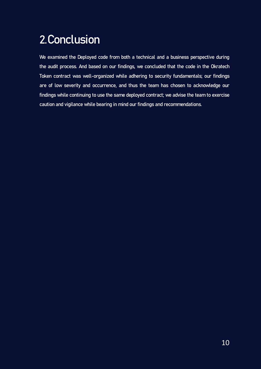# <span id="page-9-0"></span>2.Conclusion

We examined the Deployed code from both a technical and a business perspective during the audit process. And based on our findings, we concluded that the code in the Okratech Token contract was well-organized while adhering to security fundamentals; our findings are of low severity and occurrence, and thus the team has chosen to acknowledge our findings while continuing to use the same deployed contract; we advise the team to exercise caution and vigilance while bearing in mind our findings and recommendations.